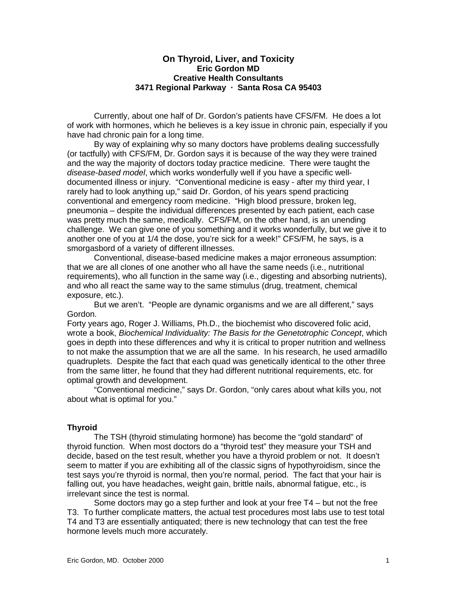# **On Thyroid, Liver, and Toxicity Eric Gordon MD Creative Health Consultants 3471 Regional Parkway · Santa Rosa CA 95403**

Currently, about one half of Dr. Gordon's patients have CFS/FM. He does a lot of work with hormones, which he believes is a key issue in chronic pain, especially if you have had chronic pain for a long time.

By way of explaining why so many doctors have problems dealing successfully (or tactfully) with CFS/FM, Dr. Gordon says it is because of the way they were trained and the way the majority of doctors today practice medicine. There were taught the *disease-based model*, which works wonderfully well if you have a specific welldocumented illness or injury. "Conventional medicine is easy - after my third year, I rarely had to look anything up," said Dr. Gordon, of his years spend practicing conventional and emergency room medicine. "High blood pressure, broken leg, pneumonia – despite the individual differences presented by each patient, each case was pretty much the same, medically. CFS/FM, on the other hand, is an unending challenge. We can give one of you something and it works wonderfully, but we give it to another one of you at 1/4 the dose, you're sick for a week!" CFS/FM, he says, is a smorgasbord of a variety of different illnesses.

Conventional, disease-based medicine makes a major erroneous assumption: that we are all clones of one another who all have the same needs (i.e., nutritional requirements), who all function in the same way (i.e., digesting and absorbing nutrients), and who all react the same way to the same stimulus (drug, treatment, chemical exposure, etc.).

But we aren't. "People are dynamic organisms and we are all different," says Gordon.

Forty years ago, Roger J. Williams, Ph.D., the biochemist who discovered folic acid, wrote a book, *Biochemical Individuality: The Basis for the Genetotrophic Concept*, which goes in depth into these differences and why it is critical to proper nutrition and wellness to not make the assumption that we are all the same. In his research, he used armadillo quadruplets. Despite the fact that each quad was genetically identical to the other three from the same litter, he found that they had different nutritional requirements, etc. for optimal growth and development.

"Conventional medicine," says Dr. Gordon, "only cares about what kills you, not about what is optimal for you."

# **Thyroid**

The TSH (thyroid stimulating hormone) has become the "gold standard" of thyroid function. When most doctors do a "thyroid test" they measure your TSH and decide, based on the test result, whether you have a thyroid problem or not. It doesn't seem to matter if you are exhibiting all of the classic signs of hypothyroidism, since the test says you're thyroid is normal, then you're normal, period. The fact that your hair is falling out, you have headaches, weight gain, brittle nails, abnormal fatigue, etc., is irrelevant since the test is normal.

Some doctors may go a step further and look at your free T4 – but not the free T3. To further complicate matters, the actual test procedures most labs use to test total T4 and T3 are essentially antiquated; there is new technology that can test the free hormone levels much more accurately.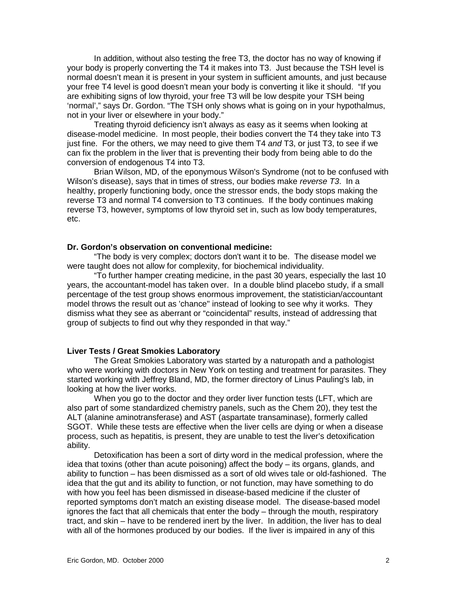In addition, without also testing the free T3, the doctor has no way of knowing if your body is properly converting the T4 it makes into T3. Just because the TSH level is normal doesn't mean it is present in your system in sufficient amounts, and just because your free T4 level is good doesn't mean your body is converting it like it should. "If you are exhibiting signs of low thyroid, your free T3 will be low despite your TSH being 'normal'," says Dr. Gordon. "The TSH only shows what is going on in your hypothalmus, not in your liver or elsewhere in your body."

Treating thyroid deficiency isn't always as easy as it seems when looking at disease-model medicine. In most people, their bodies convert the T4 they take into T3 just fine. For the others, we may need to give them T4 *and* T3, or just T3, to see if we can fix the problem in the liver that is preventing their body from being able to do the conversion of endogenous T4 into T3.

Brian Wilson, MD, of the eponymous Wilson's Syndrome (not to be confused with Wilson's disease), says that in times of stress, our bodies make *reverse T3*. In a healthy, properly functioning body, once the stressor ends, the body stops making the reverse T3 and normal T4 conversion to T3 continues. If the body continues making reverse T3, however, symptoms of low thyroid set in, such as low body temperatures, etc.

# **Dr. Gordon's observation on conventional medicine:**

"The body is very complex; doctors don't want it to be. The disease model we were taught does not allow for complexity, for biochemical individuality.

"To further hamper creating medicine, in the past 30 years, especially the last 10 years, the accountant-model has taken over. In a double blind placebo study, if a small percentage of the test group shows enormous improvement, the statistician/accountant model throws the result out as 'chance" instead of looking to see why it works. They dismiss what they see as aberrant or "coincidental" results, instead of addressing that group of subjects to find out why they responded in that way."

# **Liver Tests / Great Smokies Laboratory**

The Great Smokies Laboratory was started by a naturopath and a pathologist who were working with doctors in New York on testing and treatment for parasites. They started working with Jeffrey Bland, MD, the former directory of Linus Pauling's lab, in looking at how the liver works.

When you go to the doctor and they order liver function tests (LFT, which are also part of some standardized chemistry panels, such as the Chem 20), they test the ALT (alanine aminotransferase) and AST (aspartate transaminase), formerly called SGOT. While these tests are effective when the liver cells are dying or when a disease process, such as hepatitis, is present, they are unable to test the liver's detoxification ability.

Detoxification has been a sort of dirty word in the medical profession, where the idea that toxins (other than acute poisoning) affect the body – its organs, glands, and ability to function – has been dismissed as a sort of old wives tale or old-fashioned. The idea that the gut and its ability to function, or not function, may have something to do with how you feel has been dismissed in disease-based medicine if the cluster of reported symptoms don't match an existing disease model. The disease-based model ignores the fact that all chemicals that enter the body – through the mouth, respiratory tract, and skin – have to be rendered inert by the liver. In addition, the liver has to deal with all of the hormones produced by our bodies. If the liver is impaired in any of this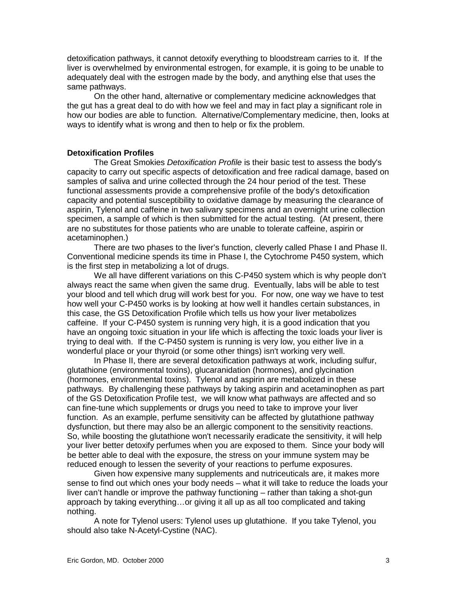detoxification pathways, it cannot detoxify everything to bloodstream carries to it. If the liver is overwhelmed by environmental estrogen, for example, it is going to be unable to adequately deal with the estrogen made by the body, and anything else that uses the same pathways.

On the other hand, alternative or complementary medicine acknowledges that the gut has a great deal to do with how we feel and may in fact play a significant role in how our bodies are able to function. Alternative/Complementary medicine, then, looks at ways to identify what is wrong and then to help or fix the problem.

### **Detoxification Profiles**

The Great Smokies *Detoxification Profile* is their basic test to assess the body's capacity to carry out specific aspects of detoxification and free radical damage, based on samples of saliva and urine collected through the 24 hour period of the test. These functional assessments provide a comprehensive profile of the body's detoxification capacity and potential susceptibility to oxidative damage by measuring the clearance of aspirin, Tylenol and caffeine in two salivary specimens and an overnight urine collection specimen, a sample of which is then submitted for the actual testing. (At present, there are no substitutes for those patients who are unable to tolerate caffeine, aspirin or acetaminophen.)

There are two phases to the liver's function, cleverly called Phase I and Phase II. Conventional medicine spends its time in Phase I, the Cytochrome P450 system, which is the first step in metabolizing a lot of drugs.

We all have different variations on this C-P450 system which is why people don't always react the same when given the same drug. Eventually, labs will be able to test your blood and tell which drug will work best for you. For now, one way we have to test how well your C-P450 works is by looking at how well it handles certain substances, in this case, the GS Detoxification Profile which tells us how your liver metabolizes caffeine. If your C-P450 system is running very high, it is a good indication that you have an ongoing toxic situation in your life which is affecting the toxic loads your liver is trying to deal with. If the C-P450 system is running is very low, you either live in a wonderful place or your thyroid (or some other things) isn't working very well.

In Phase II, there are several detoxification pathways at work, including sulfur, glutathione (environmental toxins), glucaranidation (hormones), and glycination (hormones, environmental toxins). Tylenol and aspirin are metabolized in these pathways. By challenging these pathways by taking aspirin and acetaminophen as part of the GS Detoxification Profile test, we will know what pathways are affected and so can fine-tune which supplements or drugs you need to take to improve your liver function. As an example, perfume sensitivity can be affected by glutathione pathway dysfunction, but there may also be an allergic component to the sensitivity reactions. So, while boosting the glutathione won't necessarily eradicate the sensitivity, it will help your liver better detoxify perfumes when you are exposed to them. Since your body will be better able to deal with the exposure, the stress on your immune system may be reduced enough to lessen the severity of your reactions to perfume exposures.

Given how expensive many supplements and nutriceuticals are, it makes more sense to find out which ones your body needs – what it will take to reduce the loads your liver can't handle or improve the pathway functioning – rather than taking a shot-gun approach by taking everything…or giving it all up as all too complicated and taking nothing.

A note for Tylenol users: Tylenol uses up glutathione. If you take Tylenol, you should also take N-Acetyl-Cystine (NAC).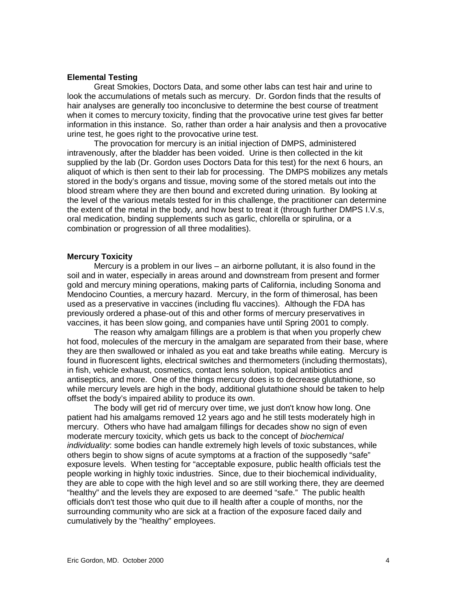## **Elemental Testing**

Great Smokies, Doctors Data, and some other labs can test hair and urine to look the accumulations of metals such as mercury. Dr. Gordon finds that the results of hair analyses are generally too inconclusive to determine the best course of treatment when it comes to mercury toxicity, finding that the provocative urine test gives far better information in this instance. So, rather than order a hair analysis and then a provocative urine test, he goes right to the provocative urine test.

The provocation for mercury is an initial injection of DMPS, administered intravenously, after the bladder has been voided. Urine is then collected in the kit supplied by the lab (Dr. Gordon uses Doctors Data for this test) for the next 6 hours, an aliquot of which is then sent to their lab for processing. The DMPS mobilizes any metals stored in the body's organs and tissue, moving some of the stored metals out into the blood stream where they are then bound and excreted during urination. By looking at the level of the various metals tested for in this challenge, the practitioner can determine the extent of the metal in the body, and how best to treat it (through further DMPS I.V.s, oral medication, binding supplements such as garlic, chlorella or spirulina, or a combination or progression of all three modalities).

# **Mercury Toxicity**

Mercury is a problem in our lives – an airborne pollutant, it is also found in the soil and in water, especially in areas around and downstream from present and former gold and mercury mining operations, making parts of California, including Sonoma and Mendocino Counties, a mercury hazard. Mercury, in the form of thimerosal, has been used as a preservative in vaccines (including flu vaccines). Although the FDA has previously ordered a phase-out of this and other forms of mercury preservatives in vaccines, it has been slow going, and companies have until Spring 2001 to comply.

The reason why amalgam fillings are a problem is that when you properly chew hot food, molecules of the mercury in the amalgam are separated from their base, where they are then swallowed or inhaled as you eat and take breaths while eating. Mercury is found in fluorescent lights, electrical switches and thermometers (including thermostats), in fish, vehicle exhaust, cosmetics, contact lens solution, topical antibiotics and antiseptics, and more. One of the things mercury does is to decrease glutathione, so while mercury levels are high in the body, additional glutathione should be taken to help offset the body's impaired ability to produce its own.

The body will get rid of mercury over time, we just don't know how long. One patient had his amalgams removed 12 years ago and he still tests moderately high in mercury. Others who have had amalgam fillings for decades show no sign of even moderate mercury toxicity, which gets us back to the concept of *biochemical individuality*: some bodies can handle extremely high levels of toxic substances, while others begin to show signs of acute symptoms at a fraction of the supposedly "safe" exposure levels. When testing for "acceptable exposure, public health officials test the people working in highly toxic industries. Since, due to their biochemical individuality, they are able to cope with the high level and so are still working there, they are deemed "healthy" and the levels they are exposed to are deemed "safe." The public health officials don't test those who quit due to ill health after a couple of months, nor the surrounding community who are sick at a fraction of the exposure faced daily and cumulatively by the "healthy" employees.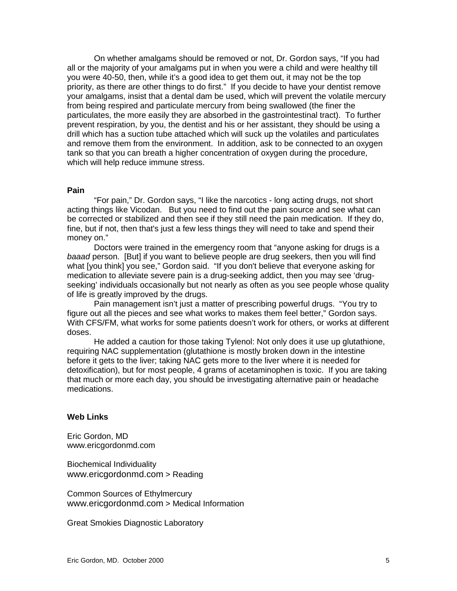On whether amalgams should be removed or not, Dr. Gordon says, "If you had all or the majority of your amalgams put in when you were a child and were healthy till you were 40-50, then, while it's a good idea to get them out, it may not be the top priority, as there are other things to do first." If you decide to have your dentist remove your amalgams, insist that a dental dam be used, which will prevent the volatile mercury from being respired and particulate mercury from being swallowed (the finer the particulates, the more easily they are absorbed in the gastrointestinal tract). To further prevent respiration, by you, the dentist and his or her assistant, they should be using a drill which has a suction tube attached which will suck up the volatiles and particulates and remove them from the environment. In addition, ask to be connected to an oxygen tank so that you can breath a higher concentration of oxygen during the procedure, which will help reduce immune stress.

#### **Pain**

"For pain," Dr. Gordon says, "I like the narcotics - long acting drugs, not short acting things like Vicodan. But you need to find out the pain source and see what can be corrected or stabilized and then see if they still need the pain medication. If they do, fine, but if not, then that's just a few less things they will need to take and spend their money on."

Doctors were trained in the emergency room that "anyone asking for drugs is a *baaad* person. [But] if you want to believe people are drug seekers, then you will find what [you think] you see," Gordon said. "If you don't believe that everyone asking for medication to alleviate severe pain is a drug-seeking addict, then you may see 'drugseeking' individuals occasionally but not nearly as often as you see people whose quality of life is greatly improved by the drugs.

Pain management isn't just a matter of prescribing powerful drugs. "You try to figure out all the pieces and see what works to makes them feel better," Gordon says. With CFS/FM, what works for some patients doesn't work for others, or works at different doses.

He added a caution for those taking Tylenol: Not only does it use up glutathione, requiring NAC supplementation (glutathione is mostly broken down in the intestine before it gets to the liver; taking NAC gets more to the liver where it is needed for detoxification), but for most people, 4 grams of acetaminophen is toxic. If you are taking that much or more each day, you should be investigating alternative pain or headache medications.

### **Web Links**

Eric Gordon, MD www.ericgordonmd.com

Biochemical Individuality www.ericgordonmd.com > Reading

Common Sources of Ethylmercury www.ericgordonmd.com > Medical Information

Great Smokies Diagnostic Laboratory